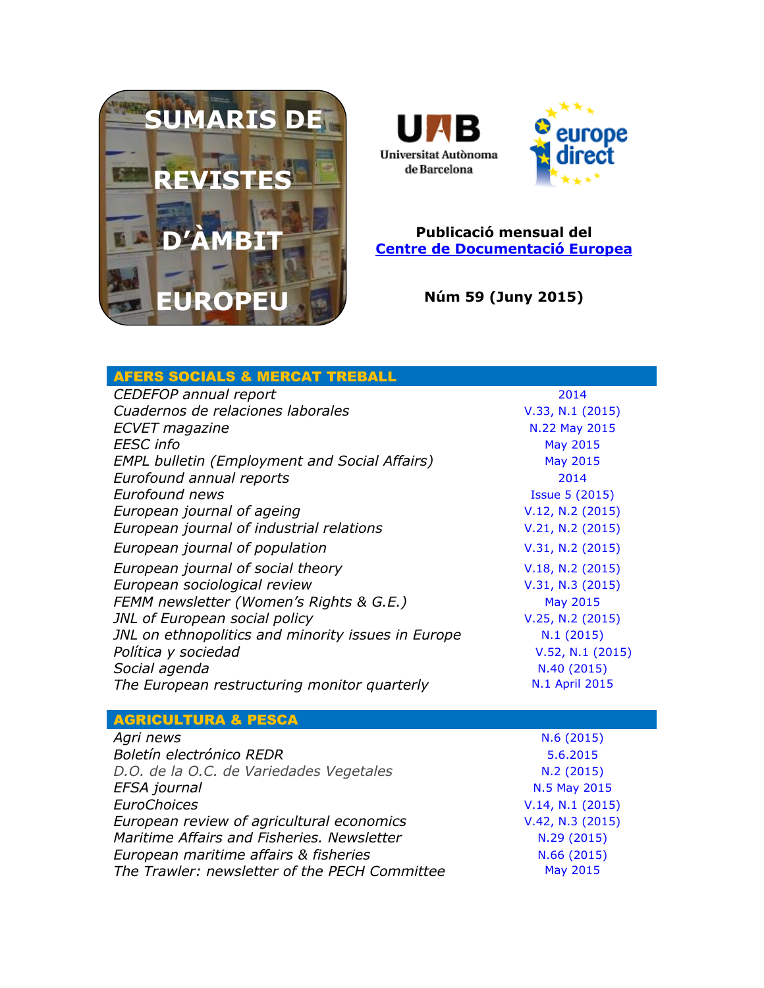



## **Publicació mensual del [Centre de Documentació Europea](http://www.uab.cat/biblioteques/cde/)**

**Núm 59 (Juny 2015)**

| <b>AFERS SOCIALS &amp; MERCAT TREBALL</b>            |                       |
|------------------------------------------------------|-----------------------|
| CEDEFOP annual report                                | 2014                  |
| Cuadernos de relaciones laborales                    | V.33, N.1 (2015)      |
| <b>ECVET</b> magazine                                | N.22 May 2015         |
| <b>EESC</b> info                                     | <b>May 2015</b>       |
| <b>EMPL bulletin (Employment and Social Affairs)</b> | <b>May 2015</b>       |
| Eurofound annual reports                             | 2014                  |
| <b>Eurofound news</b>                                | <b>Issue 5 (2015)</b> |
| European journal of ageing                           | V.12, N.2 (2015)      |
| European journal of industrial relations             | V.21, N.2 (2015)      |
| European journal of population                       | V.31, N.2 (2015)      |
| European journal of social theory                    | V.18, N.2 (2015)      |
| European sociological review                         | V.31, N.3 (2015)      |
| FEMM newsletter (Women's Rights & G.E.)              | May 2015              |
| JNL of European social policy                        | V.25, N.2 (2015)      |
| JNL on ethnopolitics and minority issues in Europe   | N.1(2015)             |
| Política y sociedad                                  | V.52, N.1 (2015)      |
| Social agenda                                        | N.40 (2015)           |
| The European restructuring monitor quarterly         | N.1 April 2015        |
|                                                      |                       |
| <b>AGRICULTURA &amp; PESCA</b>                       |                       |
| Agri news                                            | N.6(2015)             |
| Boletín electrónico REDR                             | 5.6.2015              |
| D.O. de la O.C. de Variedades Vegetales              | N.2 (2015)            |
| EFSA journal                                         | N.5 May 2015          |
| <b>EuroChoices</b>                                   | V.14, N.1 (2015)      |
| European review of agricultural economics            | V.42, N.3 (2015)      |
| Maritime Affairs and Fisheries, Newsletter           | N.29 (2015)           |
| European maritime affairs & fisheries                | N.66 (2015)           |
| The Trawler: newsletter of the PECH Committee        | <b>May 2015</b>       |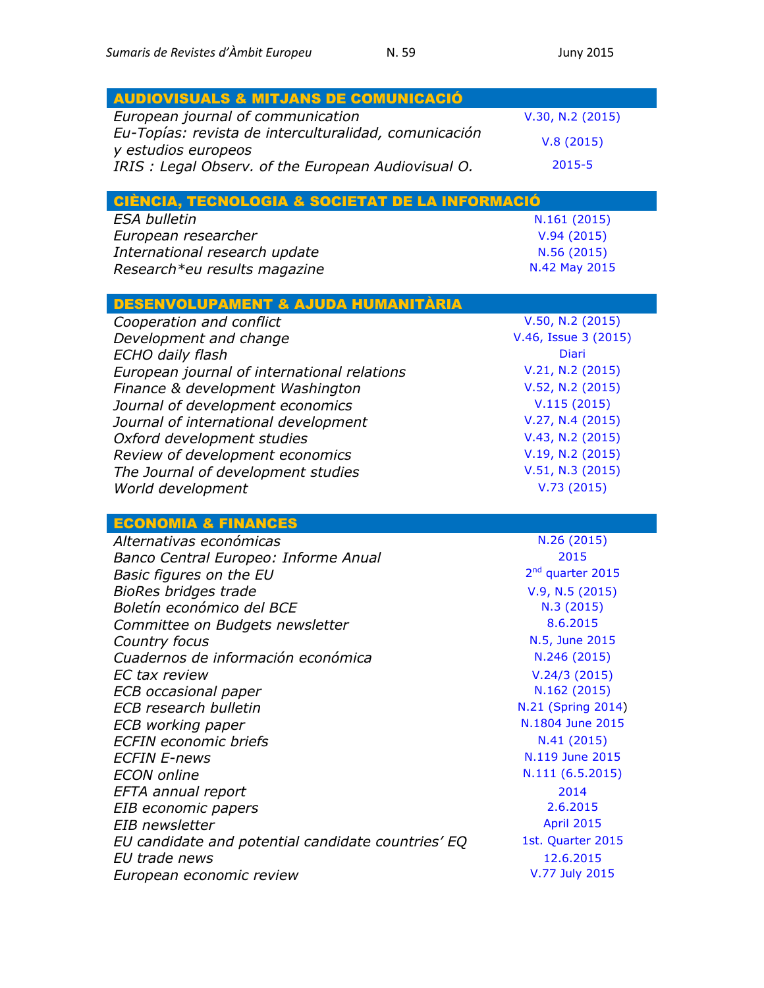| <b>AUDIOVISUALS &amp; MITJANS DE COMUNICACIÓ</b>                          |                              |
|---------------------------------------------------------------------------|------------------------------|
| European journal of communication                                         | V.30, N.2 (2015)             |
| Eu-Topías: revista de interculturalidad, comunicación                     | V.8(2015)                    |
| y estudios europeos<br>IRIS: Legal Observ. of the European Audiovisual O. | 2015-5                       |
|                                                                           |                              |
| CIÈNCIA, TECNOLOGIA & SOCIETAT DE LA INFORMACIÓ                           |                              |
| <b>ESA bulletin</b>                                                       | N.161 (2015)                 |
| European researcher                                                       | V.94(2015)                   |
| International research update                                             | N.56 (2015)                  |
| Research*eu results magazine                                              | N.42 May 2015                |
| <u>DESENVOLUPAMENT &amp; AJUDA HUMANITÀRIA</u>                            |                              |
| Cooperation and conflict                                                  | V.50, N.2 (2015)             |
| Development and change                                                    | V.46, Issue 3 (2015)         |
| ECHO daily flash                                                          | <b>Diari</b>                 |
| European journal of international relations                               | V.21, N.2 (2015)             |
| Finance & development Washington                                          | V.52, N.2 (2015)             |
| Journal of development economics                                          | V.115(2015)                  |
| Journal of international development                                      | V.27, N.4 (2015)             |
| Oxford development studies                                                | V.43, N.2 (2015)             |
| Review of development economics                                           | V.19, N.2 (2015)             |
| The Journal of development studies                                        | V.51, N.3 (2015)             |
| World development                                                         | V.73(2015)                   |
|                                                                           |                              |
| <b>ECONOMIA &amp; FINANCES</b>                                            |                              |
| Alternativas económicas                                                   | N.26 (2015)                  |
| Banco Central Europeo: Informe Anual                                      | 2015                         |
| Basic figures on the EU                                                   | 2 <sup>nd</sup> quarter 2015 |
| <b>BioRes bridges trade</b>                                               | V.9, N.5 (2015)              |
| Boletín económico del BCE                                                 | N.3 (2015)                   |
| Committee on Budgets newsletter                                           | 8.6.2015                     |
| Country focus                                                             | N.5, June 2015               |
| Cuadernos de información económica                                        | N.246 (2015)                 |
| EC tax review                                                             | V.24/3(2015)                 |
| <b>ECB</b> occasional paper                                               | N.162 (2015)                 |
| <b>ECB</b> research bulletin                                              | N.21 (Spring 2014)           |
| ECB working paper                                                         | N.1804 June 2015             |
| <b>ECFIN</b> economic briefs                                              | N.41(2015)                   |
| <b>ECFIN E-news</b>                                                       | N.119 June 2015              |
| <b>ECON</b> online                                                        | N.111 (6.5.2015)             |
| EFTA annual report                                                        | 2014                         |
| EIB economic papers                                                       | 2.6.2015                     |
| EIB newsletter                                                            | <b>April 2015</b>            |
| EU candidate and potential candidate countries' EQ                        | 1st. Quarter 2015            |
| EU trade news                                                             | 12.6.2015                    |
| European economic review                                                  | V.77 July 2015               |
|                                                                           |                              |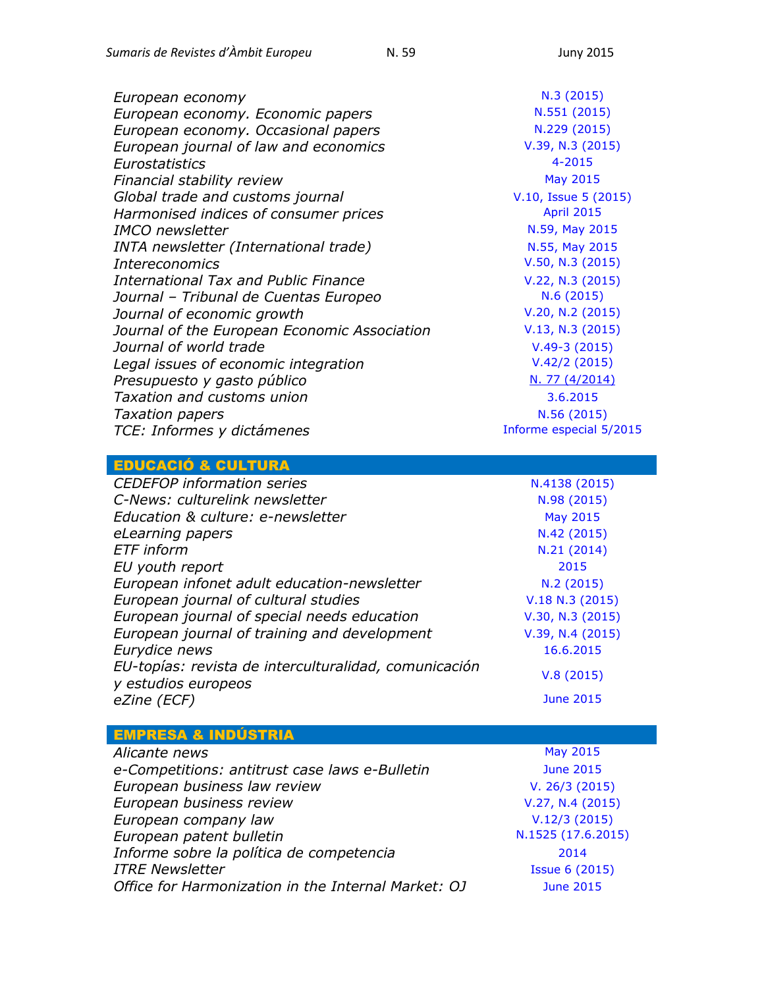| European economy                             | N.3(2015)               |
|----------------------------------------------|-------------------------|
| European economy. Economic papers            | N.551 (2015)            |
| European economy. Occasional papers          | N.229 (2015)            |
| European journal of law and economics        | V.39, N.3 (2015)        |
| Eurostatistics                               | $4 - 2015$              |
| Financial stability review                   | May 2015                |
| Global trade and customs journal             | V.10, Issue 5 (2015)    |
| Harmonised indices of consumer prices        | <b>April 2015</b>       |
| <b>IMCO</b> newsletter                       | N.59, May 2015          |
| INTA newsletter (International trade)        | N.55, May 2015          |
| <b>Intereconomics</b>                        | V.50, N.3 (2015)        |
| International Tax and Public Finance         | V.22, N.3 (2015)        |
| Journal - Tribunal de Cuentas Europeo        | N.6(2015)               |
| Journal of economic growth                   | V.20, N.2 (2015)        |
| Journal of the European Economic Association | V.13, N.3 (2015)        |
| Journal of world trade                       | $V.49-3(2015)$          |
| Legal issues of economic integration         | V.42/2(2015)            |
| Presupuesto y gasto público                  | N. 77 (4/2014)          |
| Taxation and customs union                   | 3.6.2015                |
| <b>Taxation papers</b>                       | N.56 (2015)             |
| TCE: Informes y dictámenes                   | Informe especial 5/2015 |
|                                              |                         |

## EDUCACIÓ & CULTURA

| <b>CEDEFOP</b> information series                                            | N.4138 (2015)    |
|------------------------------------------------------------------------------|------------------|
| C-News: culturelink newsletter                                               | N.98 (2015)      |
| Education & culture: e-newsletter                                            | <b>May 2015</b>  |
| eLearning papers                                                             | N.42 (2015)      |
| <b>ETF</b> inform                                                            | N.21 (2014)      |
| EU youth report                                                              | 2015             |
| European infonet adult education-newsletter                                  | N.2(2015)        |
| European journal of cultural studies                                         | V.18 N.3 (2015)  |
| European journal of special needs education                                  | V.30, N.3 (2015) |
| European journal of training and development                                 | V.39, N.4(2015)  |
| Eurydice news                                                                | 16.6.2015        |
| EU-topías: revista de interculturalidad, comunicación<br>y estudios europeos | V.8(2015)        |
| eZine (ECF)                                                                  | <b>June 2015</b> |

| <b>EMPRESA &amp; INDÚSTRIA</b>                      |                       |
|-----------------------------------------------------|-----------------------|
| Alicante news                                       | May 2015              |
| e-Competitions: antitrust case laws e-Bulletin      | <b>June 2015</b>      |
| European business law review                        | V. 26/3 (2015)        |
| European business review                            | V.27, N.4 (2015)      |
| European company law                                | V.12/3(2015)          |
| European patent bulletin                            | N.1525 (17.6.2015)    |
| Informe sobre la política de competencia            | 2014                  |
| <b>ITRE Newsletter</b>                              | <b>Issue 6 (2015)</b> |
| Office for Harmonization in the Internal Market: OJ | <b>June 2015</b>      |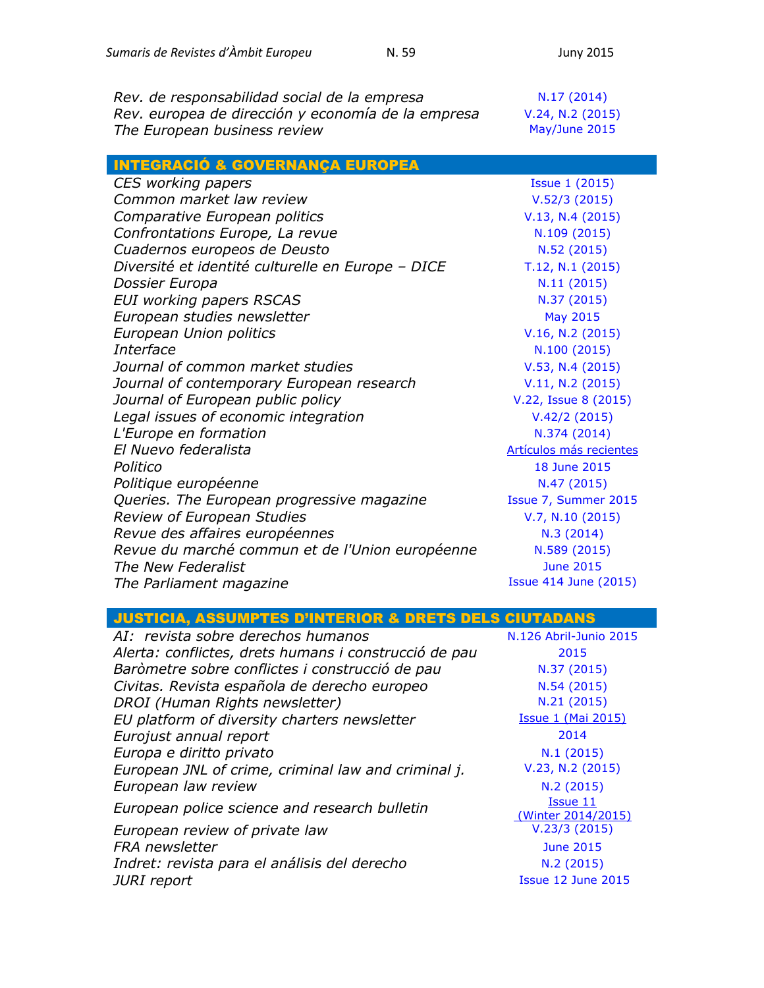| Rev. de responsabilidad social de la empresa       | N.17 (2014)      |
|----------------------------------------------------|------------------|
| Rev. europea de dirección y economía de la empresa | V.24, N.2 (2015) |
| The European business review                       | May/June 2015    |

INTEGRACIÓ & GOVERNANÇA EUROPEA

| CES working papers                                | <b>Issue 1 (2015)</b>          |
|---------------------------------------------------|--------------------------------|
| Common market law review                          | V.52/3(2015)                   |
| Comparative European politics                     | V.13, N.4 (2015)               |
| Confrontations Europe, La revue                   | N.109 (2015)                   |
| Cuadernos europeos de Deusto                      | N.52 (2015)                    |
| Diversité et identité culturelle en Europe - DICE | T.12, N.1 (2015)               |
| Dossier Europa                                    | N.11(2015)                     |
| <b>EUI working papers RSCAS</b>                   | N.37 (2015)                    |
| European studies newsletter                       | May 2015                       |
| European Union politics                           | V.16, N.2 (2015)               |
| Interface                                         | N.100 (2015)                   |
| Journal of common market studies                  | V.53, N.4 (2015)               |
| Journal of contemporary European research         | V.11, N.2 (2015)               |
| Journal of European public policy                 | V.22, Issue 8 (2015)           |
| Legal issues of economic integration              | V.42/2(2015)                   |
| L'Europe en formation                             | N.374 (2014)                   |
| El Nuevo federalista                              | <b>Artículos más recientes</b> |
| Politico                                          | 18 June 2015                   |
| Politique européenne                              | N.47 (2015)                    |
| Queries. The European progressive magazine        | Issue 7, Summer 2015           |
| <b>Review of European Studies</b>                 | V.7, N.10 (2015)               |
| Revue des affaires européennes                    | N.3(2014)                      |
| Revue du marché commun et de l'Union européenne   | N.589 (2015)                   |
| The New Federalist                                | <b>June 2015</b>               |
| The Parliament magazine                           | <b>Issue 414 June (2015)</b>   |

JUSTICIA, ASSUMPTES D'INTERIOR & DRETS DELS CIUTADANS

| AI: revista sobre derechos humanos                    | N.126 Abril-Junio 2015                |
|-------------------------------------------------------|---------------------------------------|
| Alerta: conflictes, drets humans i construcció de pau | 2015                                  |
| Baròmetre sobre conflictes i construcció de pau       | N.37 (2015)                           |
| Civitas. Revista española de derecho europeo          | N.54 (2015)                           |
| DROI (Human Rights newsletter)                        | N.21 (2015)                           |
| EU platform of diversity charters newsletter          | <b>Issue 1 (Mai 2015)</b>             |
| Eurojust annual report                                | 2014                                  |
| Europa e diritto privato                              | N.1(2015)                             |
| European JNL of crime, criminal law and criminal j.   | V.23, N.2 (2015)                      |
| European law review                                   | N.2(2015)                             |
| European police science and research bulletin         | <b>Issue 11</b><br>(Winter 2014/2015) |
| European review of private law                        | V.23/3(2015)                          |
| <b>FRA</b> newsletter                                 | <b>June 2015</b>                      |
| Indret: revista para el análisis del derecho          | N.2(2015)                             |
| <b>JURI</b> report                                    | <b>Issue 12 June 2015</b>             |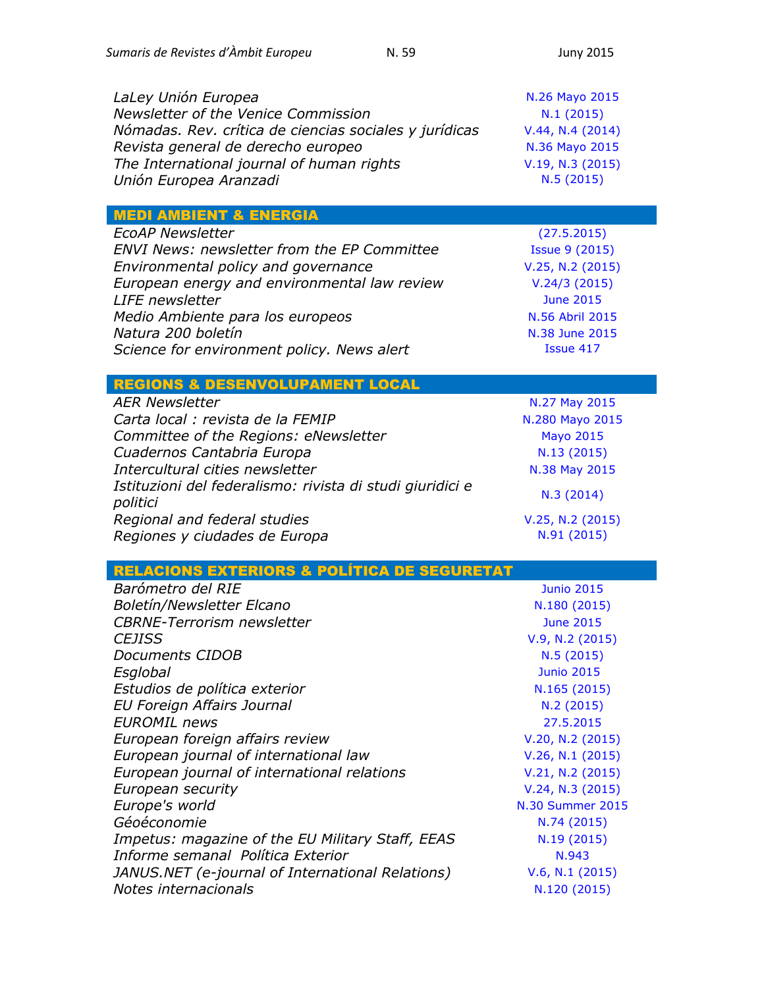*EcoAP Newsletter* [\(27.5.2015\)](http://ecoapwebsite.eu/newsletters/index_20150527_en.htm) *ENVI News: newsletter from the EP Committee* [Issue 9](https://polcms.secure.europarl.europa.eu/cmsdata/upload/205d4a20-27c2-4321-aeb0-0ebb83ae7df3/June%202015%20-%20final%281%29.pdf) (2015) *Environmental policy and governance* [V.25, N.2](http://onlinelibrary.wiley.com/doi/10.1002/eet.v25.2/issuetoc) (2015) *European energy and environmental law review* V.24/3 [\(2015\)](http://www.kluwerlawonline.com/toc.php?area=Journals&mode=bypub&level=5&values=Journals~~European+Energy+and+Environmental+Law+Review~Volume+24+%282015%29) June [2015](http://ec.europa.eu/environment/life/news/newsletter/archive2015/documents/ln0615.pdf) *Medio Ambiente para los europeos* [N.56 Abril](http://ec.europa.eu/environment/news/efe/docs/efe56/mag-efe-56_es.pdf) 2015 *[N.38 June](http://ec.europa.eu/environment/nature/info/pubs/docs/nat2000newsl/nat38_en.pdf) 2015* 

| LaLey Unión Europea                                    | N.26 Mayo 2015   |
|--------------------------------------------------------|------------------|
| Newsletter of the Venice Commission                    | N.1(2015)        |
| Nómadas. Rev. crítica de ciencias sociales y jurídicas | V.44, N.4 (2014) |
| Revista general de derecho europeo                     | N.36 Mayo 2015   |
| The International journal of human rights              | V.19, N.3 (2015) |
| Unión Europea Aranzadi                                 | N.5(2015)        |
|                                                        |                  |
| MEDI AMBIENT & ENERGIA                                 |                  |

| <b>EcoAP Newsletter</b>                            | (27.5.2015          |
|----------------------------------------------------|---------------------|
| <b>ENVI News: newsletter from the EP Committee</b> | <b>Issue 9 (201</b> |
| Environmental policy and governance                | $V.25, N.2$ (20     |
| European energy and environmental law review       | V.24/3(201)         |
| <b>LIFE</b> newsletter                             | <b>June 2015</b>    |
| Medio Ambiente para los europeos                   | N.56 Abril 20       |
| Natura 200 boletín                                 | N.38 June 20        |
| Science for environment policy. News alert         | Issue 417           |

## REGIONS & DESENVOLUPAMENT LOCAL

| <b>AER Newsletter</b>                                                 | N.27 May 2015                   |
|-----------------------------------------------------------------------|---------------------------------|
| Carta local : revista de la FEMIP                                     | N.280 Mayo 2015                 |
| Committee of the Regions: eNewsletter                                 | <b>Mayo 2015</b>                |
| Cuadernos Cantabria Europa                                            | N.13 (2015)                     |
| Intercultural cities newsletter                                       | N.38 May 2015                   |
| Istituzioni del federalismo: rivista di studi giuridici e<br>politici | N.3(2014)                       |
| Regional and federal studies<br>Regiones y ciudades de Europa         | V.25, N.2 (2015)<br>N.91 (2015) |

## RELACIONS EXTERIORS & POLÍTICA DE SEGURETAT

| Barómetro del RIE                                | <b>Junio 2015</b>       |
|--------------------------------------------------|-------------------------|
| <b>Boletín/Newsletter Elcano</b>                 | N.180 (2015)            |
| <b>CBRNE-Terrorism newsletter</b>                | <b>June 2015</b>        |
| <b>CEJISS</b>                                    | V.9, N.2 (2015)         |
| Documents CIDOB                                  | N.5(2015)               |
| Esglobal                                         | <b>Junio 2015</b>       |
| Estudios de política exterior                    | N.165 (2015)            |
| EU Foreign Affairs Journal                       | N.2(2015)               |
| <b>EUROMIL</b> news                              | 27.5.2015               |
| European foreign affairs review                  | V.20, N.2 (2015)        |
| European journal of international law            | V.26, N.1 (2015)        |
| European journal of international relations      | V.21, N.2 (2015)        |
| European security                                | V.24, N.3 (2015)        |
| Europe's world                                   | <b>N.30 Summer 2015</b> |
| Géoéconomie                                      | N.74 (2015)             |
| Impetus: magazine of the EU Military Staff, EEAS | N.19 (2015)             |
| Informe semanal Política Exterior                | N.943                   |
| JANUS.NET (e-journal of International Relations) | V.6, N.1 (2015)         |
| Notes internacionals                             | N.120 (2015)            |
|                                                  |                         |